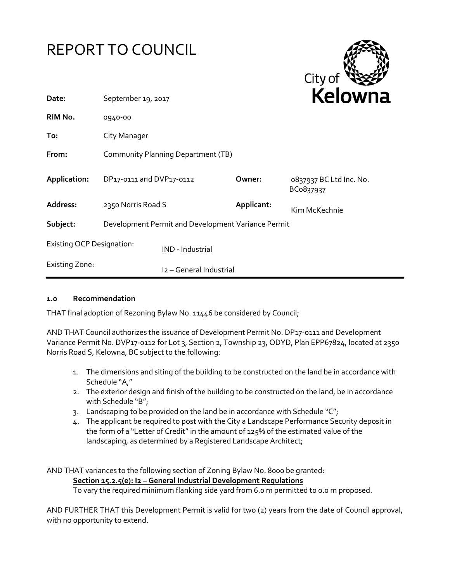

#### **1.0 Recommendation**

THAT final adoption of Rezoning Bylaw No. 11446 be considered by Council;

AND THAT Council authorizes the issuance of Development Permit No. DP17-0111 and Development Variance Permit No. DVP17-0112 for Lot 3, Section 2, Township 23, ODYD, Plan EPP67824, located at 2350 Norris Road S, Kelowna, BC subject to the following:

- 1. The dimensions and siting of the building to be constructed on the land be in accordance with Schedule "A,"
- 2. The exterior design and finish of the building to be constructed on the land, be in accordance with Schedule "B";
- 3. Landscaping to be provided on the land be in accordance with Schedule "C";
- 4. The applicant be required to post with the City a Landscape Performance Security deposit in the form of a "Letter of Credit" in the amount of 125% of the estimated value of the landscaping, as determined by a Registered Landscape Architect;

AND THAT variances to the following section of Zoning Bylaw No. 8000 be granted: **Section 15.2.5(e): I2 – General Industrial Development Regulations** To vary the required minimum flanking side yard from 6.0 m permitted to 0.0 m proposed.

AND FURTHER THAT this Development Permit is valid for two (2) years from the date of Council approval, with no opportunity to extend.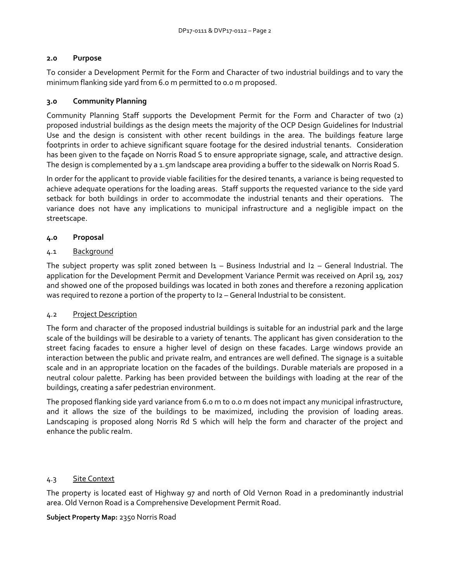# **2.0 Purpose**

To consider a Development Permit for the Form and Character of two industrial buildings and to vary the minimum flanking side yard from 6.0 m permitted to 0.0 m proposed.

# **3.0 Community Planning**

Community Planning Staff supports the Development Permit for the Form and Character of two (2) proposed industrial buildings as the design meets the majority of the OCP Design Guidelines for Industrial Use and the design is consistent with other recent buildings in the area. The buildings feature large footprints in order to achieve significant square footage for the desired industrial tenants. Consideration has been given to the façade on Norris Road S to ensure appropriate signage, scale, and attractive design. The design is complemented by a 1.5m landscape area providing a buffer to the sidewalk on Norris Road S.

In order for the applicant to provide viable facilities for the desired tenants, a variance is being requested to achieve adequate operations for the loading areas. Staff supports the requested variance to the side yard setback for both buildings in order to accommodate the industrial tenants and their operations. The variance does not have any implications to municipal infrastructure and a negligible impact on the streetscape.

# **4.0 Proposal**

# 4.1 Background

The subject property was split zoned between  $I_1$  – Business Industrial and  $I_2$  – General Industrial. The application for the Development Permit and Development Variance Permit was received on April 19, 2017 and showed one of the proposed buildings was located in both zones and therefore a rezoning application was required to rezone a portion of the property to  $12$  – General Industrial to be consistent.

#### 4.2 Project Description

The form and character of the proposed industrial buildings is suitable for an industrial park and the large scale of the buildings will be desirable to a variety of tenants. The applicant has given consideration to the street facing facades to ensure a higher level of design on these facades. Large windows provide an interaction between the public and private realm, and entrances are well defined. The signage is a suitable scale and in an appropriate location on the facades of the buildings. Durable materials are proposed in a neutral colour palette. Parking has been provided between the buildings with loading at the rear of the buildings, creating a safer pedestrian environment.

The proposed flanking side yard variance from 6.0 m to 0.0 m does not impact any municipal infrastructure, and it allows the size of the buildings to be maximized, including the provision of loading areas. Landscaping is proposed along Norris Rd S which will help the form and character of the project and enhance the public realm.

#### 4.3 Site Context

The property is located east of Highway 97 and north of Old Vernon Road in a predominantly industrial area. Old Vernon Road is a Comprehensive Development Permit Road.

#### **Subject Property Map:** 2350 Norris Road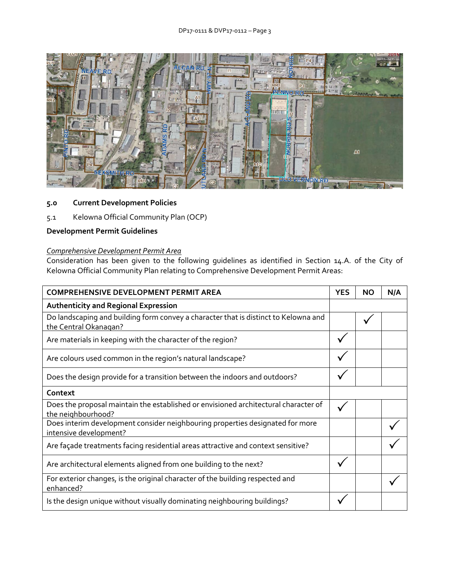

# **5.0 Current Development Policies**

5.1 Kelowna Official Community Plan (OCP)

# **Development Permit Guidelines**

# *Comprehensive Development Permit Area*

Consideration has been given to the following guidelines as identified in Section 14.A. of the City of Kelowna Official Community Plan relating to Comprehensive Development Permit Areas:

| <b>COMPREHENSIVE DEVELOPMENT PERMIT AREA</b>                                                                 | <b>YES</b> | ΝO | N/A |
|--------------------------------------------------------------------------------------------------------------|------------|----|-----|
| <b>Authenticity and Regional Expression</b>                                                                  |            |    |     |
| Do landscaping and building form convey a character that is distinct to Kelowna and<br>the Central Okanagan? |            |    |     |
| Are materials in keeping with the character of the region?                                                   |            |    |     |
| Are colours used common in the region's natural landscape?                                                   |            |    |     |
| Does the design provide for a transition between the indoors and outdoors?                                   |            |    |     |
| Context                                                                                                      |            |    |     |
| Does the proposal maintain the established or envisioned architectural character of<br>the neighbourhood?    |            |    |     |
| Does interim development consider neighbouring properties designated for more<br>intensive development?      |            |    |     |
| Are façade treatments facing residential areas attractive and context sensitive?                             |            |    |     |
| Are architectural elements aligned from one building to the next?                                            |            |    |     |
| For exterior changes, is the original character of the building respected and<br>enhanced?                   |            |    |     |
| Is the design unique without visually dominating neighbouring buildings?                                     |            |    |     |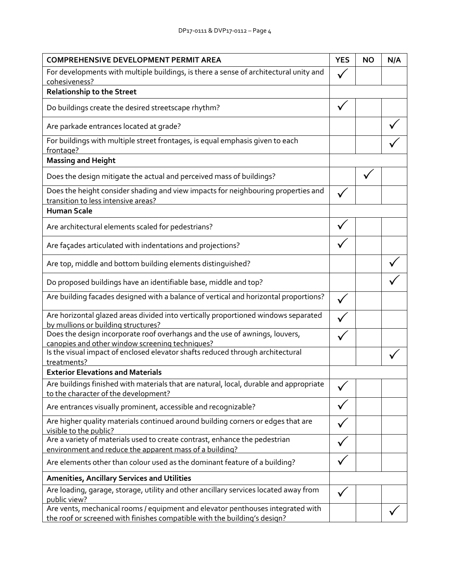| <b>COMPREHENSIVE DEVELOPMENT PERMIT AREA</b>                                                                                                                 |              | <b>NO</b> | N/A |
|--------------------------------------------------------------------------------------------------------------------------------------------------------------|--------------|-----------|-----|
| For developments with multiple buildings, is there a sense of architectural unity and                                                                        |              |           |     |
| cohesiveness?                                                                                                                                                |              |           |     |
| <b>Relationship to the Street</b>                                                                                                                            |              |           |     |
| Do buildings create the desired streetscape rhythm?                                                                                                          |              |           |     |
| Are parkade entrances located at grade?                                                                                                                      |              |           |     |
| For buildings with multiple street frontages, is equal emphasis given to each<br>frontage?                                                                   |              |           |     |
| <b>Massing and Height</b>                                                                                                                                    |              |           |     |
| Does the design mitigate the actual and perceived mass of buildings?                                                                                         |              |           |     |
| Does the height consider shading and view impacts for neighbouring properties and<br>transition to less intensive areas?                                     |              |           |     |
| <b>Human Scale</b>                                                                                                                                           |              |           |     |
| Are architectural elements scaled for pedestrians?                                                                                                           |              |           |     |
| Are façades articulated with indentations and projections?                                                                                                   |              |           |     |
| Are top, middle and bottom building elements distinguished?                                                                                                  |              |           |     |
| Do proposed buildings have an identifiable base, middle and top?                                                                                             |              |           |     |
| Are building facades designed with a balance of vertical and horizontal proportions?                                                                         |              |           |     |
| Are horizontal glazed areas divided into vertically proportioned windows separated<br>by mullions or building structures?                                    |              |           |     |
| Does the design incorporate roof overhangs and the use of awnings, louvers,                                                                                  |              |           |     |
| canopies and other window screening techniques?<br>Is the visual impact of enclosed elevator shafts reduced through architectural                            |              |           |     |
| treatments?<br><b>Exterior Elevations and Materials</b>                                                                                                      |              |           |     |
| Are buildings finished with materials that are natural, local, durable and appropriate<br>to the character of the development?                               | $\checkmark$ |           |     |
| Are entrances visually prominent, accessible and recognizable?                                                                                               |              |           |     |
| Are higher quality materials continued around building corners or edges that are<br>visible to the public?                                                   |              |           |     |
| Are a variety of materials used to create contrast, enhance the pedestrian                                                                                   |              |           |     |
| environment and reduce the apparent mass of a building?                                                                                                      |              |           |     |
| Are elements other than colour used as the dominant feature of a building?                                                                                   |              |           |     |
| <b>Amenities, Ancillary Services and Utilities</b>                                                                                                           |              |           |     |
| Are loading, garage, storage, utility and other ancillary services located away from<br>public view?                                                         |              |           |     |
| Are vents, mechanical rooms / equipment and elevator penthouses integrated with<br>the roof or screened with finishes compatible with the building's design? |              |           |     |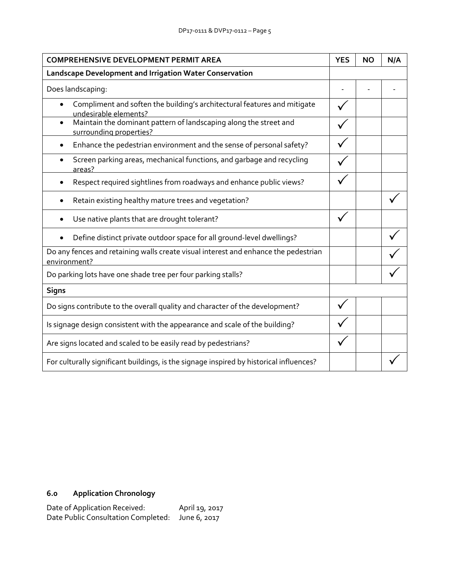| <b>COMPREHENSIVE DEVELOPMENT PERMIT AREA</b>                                                              |  | <b>NO</b> | N/A |
|-----------------------------------------------------------------------------------------------------------|--|-----------|-----|
| Landscape Development and Irrigation Water Conservation                                                   |  |           |     |
| Does landscaping:                                                                                         |  |           |     |
| Compliment and soften the building's architectural features and mitigate<br>undesirable elements?         |  |           |     |
| Maintain the dominant pattern of landscaping along the street and<br>$\bullet$<br>surrounding properties? |  |           |     |
| Enhance the pedestrian environment and the sense of personal safety?                                      |  |           |     |
| Screen parking areas, mechanical functions, and garbage and recycling<br>areas?                           |  |           |     |
| Respect required sightlines from roadways and enhance public views?                                       |  |           |     |
| Retain existing healthy mature trees and vegetation?                                                      |  |           |     |
| Use native plants that are drought tolerant?                                                              |  |           |     |
| Define distinct private outdoor space for all ground-level dwellings?                                     |  |           |     |
| Do any fences and retaining walls create visual interest and enhance the pedestrian<br>environment?       |  |           |     |
| Do parking lots have one shade tree per four parking stalls?                                              |  |           |     |
| <b>Signs</b>                                                                                              |  |           |     |
| Do signs contribute to the overall quality and character of the development?                              |  |           |     |
| Is signage design consistent with the appearance and scale of the building?                               |  |           |     |
| Are signs located and scaled to be easily read by pedestrians?                                            |  |           |     |
| For culturally significant buildings, is the signage inspired by historical influences?                   |  |           |     |

# **6.0 Application Chronology**

| Date of Application Received:                    | April 19, 2017 |
|--------------------------------------------------|----------------|
| Date Public Consultation Completed: June 6, 2017 |                |